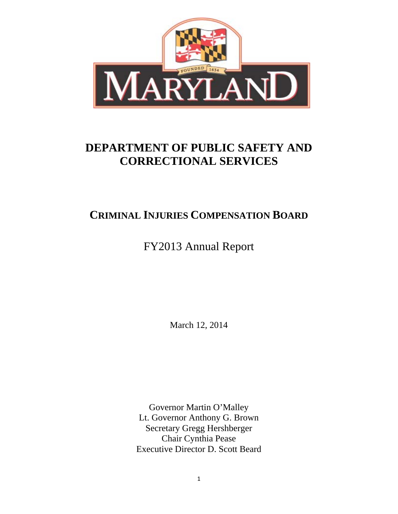

# **DEPARTMENT OF PUBLIC SAFETY AND CORRECTIONAL SERVICES**

## **CRIMINAL INJURIES COMPENSATION BOARD**

FY2013 Annual Report

March 12, 2014

Governor Martin O'Malley Lt. Governor Anthony G. Brown Secretary Gregg Hershberger Chair Cynthia Pease Executive Director D. Scott Beard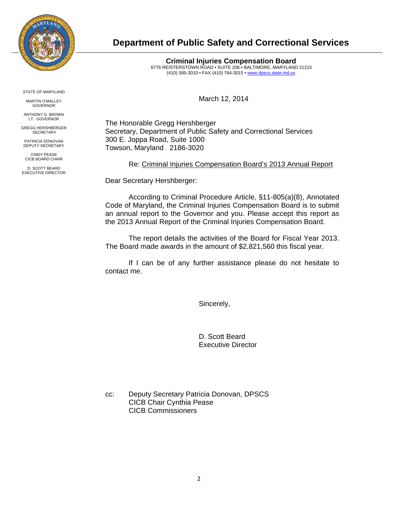

### **Department of Public Safety and Correctional Services**

**Criminal Injuries Compensation Board**  6776 REISTERSTOWN ROAD • SUITE 206 • BALTIMORE, MARYLAND 21215 (410) 585-3010 • FAX (410) 764-3015 • www.dpscs.state.md.us

March 12, 2014

The Honorable Gregg Hershberger Secretary, Department of Public Safety and Correctional Services 300 E. Joppa Road, Suite 1000 Towson, Maryland 2186-3020

Re: Criminal Injuries Compensation Board's 2013 Annual Report

Dear Secretary Hershberger:

According to Criminal Procedure Article, §11-805(a)(8), Annotated Code of Maryland, the Criminal Injuries Compensation Board is to submit an annual report to the Governor and you. Please accept this report as the 2013 Annual Report of the Criminal Injuries Compensation Board.

The report details the activities of the Board for Fiscal Year 2013. The Board made awards in the amount of \$2,821,560 this fiscal year.

If I can be of any further assistance please do not hesitate to contact me.

Sincerely,

 D. Scott Beard Executive Director

cc: Deputy Secretary Patricia Donovan, DPSCS CICB Chair Cynthia Pease CICB Commissioners

STATE OF MARYLAND

MARTIN O'MALLEY GOVERNOR

ANTHONY G. BROWN LT. GOVERNOR

GREGG HERSHBERGER **SECRETARY** 

PATRICIA DONOVAN DEPUTY SECRETARY

CINDY PEASE CICB BOARD CHAIR

D. SCOTT BEARD EXECUTIVE DIRECTOR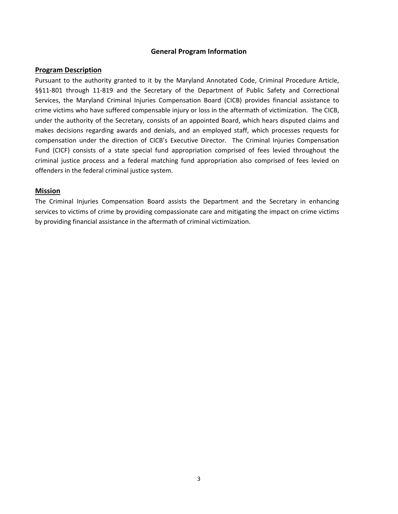#### **General Program Information**

#### **Program Description**

Pursuant to the authority granted to it by the Maryland Annotated Code, Criminal Procedure Article, §§11-801 through 11-819 and the Secretary of the Department of Public Safety and Correctional Services, the Maryland Criminal Injuries Compensation Board (CICB) provides financial assistance to crime victims who have suffered compensable injury or loss in the aftermath of victimization. The CICB, under the authority of the Secretary, consists of an appointed Board, which hears disputed claims and makes decisions regarding awards and denials, and an employed staff, which processes requests for compensation under the direction of CICB's Executive Director. The Criminal Injuries Compensation Fund (CICF) consists of a state special fund appropriation comprised of fees levied throughout the criminal justice process and a federal matching fund appropriation also comprised of fees levied on offenders in the federal criminal justice system.

#### **Mission**

The Criminal Injuries Compensation Board assists the Department and the Secretary in enhancing services to victims of crime by providing compassionate care and mitigating the impact on crime victims by providing financial assistance in the aftermath of criminal victimization.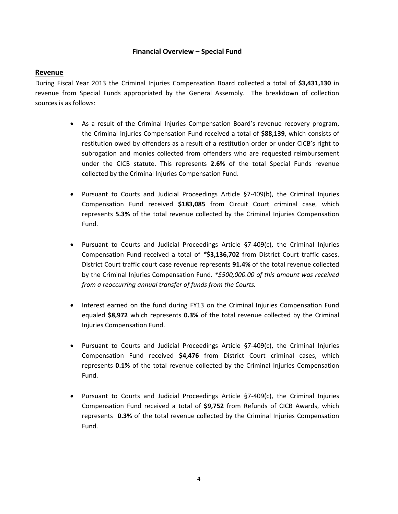#### **Financial Overview – Special Fund**

#### **Revenue**

During Fiscal Year 2013 the Criminal Injuries Compensation Board collected a total of **\$3,431,130** in revenue from Special Funds appropriated by the General Assembly. The breakdown of collection sources is as follows:

- As a result of the Criminal Injuries Compensation Board's revenue recovery program, the Criminal Injuries Compensation Fund received a total of **\$88,139**, which consists of restitution owed by offenders as a result of a restitution order or under CICB's right to subrogation and monies collected from offenders who are requested reimbursement under the CICB statute. This represents **2.6%** of the total Special Funds revenue collected by the Criminal Injuries Compensation Fund.
- Pursuant to Courts and Judicial Proceedings Article §7‐409(b), the Criminal Injuries Compensation Fund received **\$183,085** from Circuit Court criminal case, which represents **5.3%** of the total revenue collected by the Criminal Injuries Compensation Fund.
- Pursuant to Courts and Judicial Proceedings Article §7‐409(c), the Criminal Injuries Compensation Fund received a total of *\****\$3,136,702** from District Court traffic cases. District Court traffic court case revenue represents **91.4%** of the total revenue collected by the Criminal Injuries Compensation Fund. *\*\$500,000.00 of this amount was received from a reoccurring annual transfer of funds from the Courts.*
- Interest earned on the fund during FY13 on the Criminal Injuries Compensation Fund equaled **\$8,972** which represents **0.3%** of the total revenue collected by the Criminal Injuries Compensation Fund.
- Pursuant to Courts and Judicial Proceedings Article §7‐409(c), the Criminal Injuries Compensation Fund received **\$4,476** from District Court criminal cases, which represents **0.1%** of the total revenue collected by the Criminal Injuries Compensation Fund.
- Pursuant to Courts and Judicial Proceedings Article §7‐409(c), the Criminal Injuries Compensation Fund received a total of **\$9,752** from Refunds of CICB Awards, which represents **0.3%** of the total revenue collected by the Criminal Injuries Compensation Fund.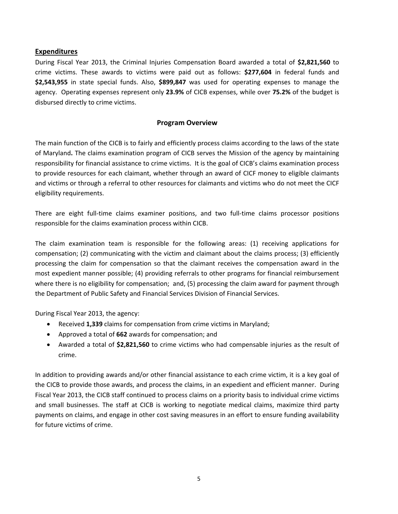#### **Expenditures**

During Fiscal Year 2013, the Criminal Injuries Compensation Board awarded a total of **\$2,821,560** to crime victims. These awards to victims were paid out as follows: **\$277,604** in federal funds and **\$2,543,955** in state special funds. Also, **\$899,847** was used for operating expenses to manage the agency. Operating expenses represent only **23.9%** of CICB expenses, while over **75.2%** of the budget is disbursed directly to crime victims.

#### **Program Overview**

The main function of the CICB is to fairly and efficiently process claims according to the laws of the state of Maryland**.** The claims examination program of CICB serves the Mission of the agency by maintaining responsibility for financial assistance to crime victims. It is the goal of CICB's claims examination process to provide resources for each claimant, whether through an award of CICF money to eligible claimants and victims or through a referral to other resources for claimants and victims who do not meet the CICF eligibility requirements.

There are eight full-time claims examiner positions, and two full-time claims processor positions responsible for the claims examination process within CICB.

The claim examination team is responsible for the following areas: (1) receiving applications for compensation; (2) communicating with the victim and claimant about the claims process; (3) efficiently processing the claim for compensation so that the claimant receives the compensation award in the most expedient manner possible; (4) providing referrals to other programs for financial reimbursement where there is no eligibility for compensation; and, (5) processing the claim award for payment through the Department of Public Safety and Financial Services Division of Financial Services.

During Fiscal Year 2013, the agency:

- Received **1,339** claims for compensation from crime victims in Maryland;
- Approved a total of **662** awards for compensation; and
- Awarded a total of **\$2,821,560** to crime victims who had compensable injuries as the result of crime.

In addition to providing awards and/or other financial assistance to each crime victim, it is a key goal of the CICB to provide those awards, and process the claims, in an expedient and efficient manner. During Fiscal Year 2013, the CICB staff continued to process claims on a priority basis to individual crime victims and small businesses. The staff at CICB is working to negotiate medical claims, maximize third party payments on claims, and engage in other cost saving measures in an effort to ensure funding availability for future victims of crime.